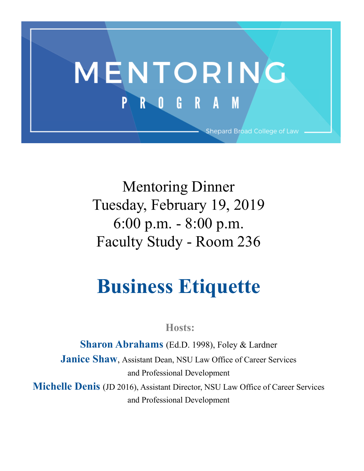

Mentoring Dinner Tuesday, February 19, 2019 6:00 p.m. - 8:00 p.m. Faculty Study - Room 236

## **Business Etiquette**

**Hosts:**

**Sharon Abrahams** (Ed.D. 1998), Foley & Lardner **Janice Shaw**, Assistant Dean, NSU Law Office of Career Services and Professional Development

**Michelle Denis** (JD 2016), Assistant Director, NSU Law Office of Career Services and Professional Development